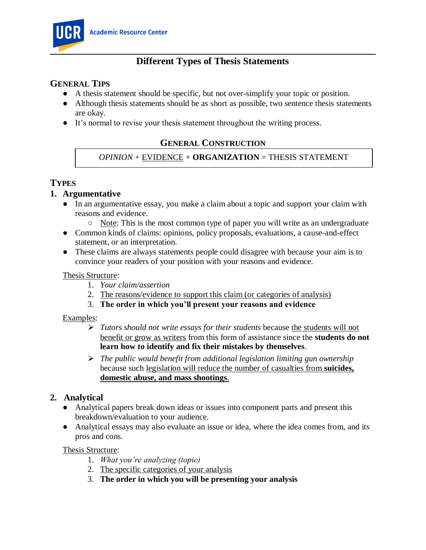

# **Different Types of Thesis Statements**

### **GENERAL TIPS**

- A thesis statement should be specific, but not over-simplify your topic or position.
- Although thesis statements should be as short as possible, two sentence thesis statements are okay.
- It's normal to revise your thesis statement throughout the writing process.

# **GENERAL CONSTRUCTION**

### *OPINION* + EVIDENCE + **ORGANIZATION** = THESIS STATEMENT

# **TYPES**

### **1. Argumentative**

- In an argumentative essay, you make a claim about a topic and support your claim with reasons and evidence.
	- $\circ$  Note: This is the most common type of paper you will write as an undergraduate
- Common kinds of claims: opinions, policy proposals, evaluations, a cause-and-effect statement, or an interpretation.
- These claims are always statements people could disagree with because your aim is to convince your readers of your position with your reasons and evidence.

#### Thesis Structure:

- 1. *Your claim/assertion*
- 2. The reasons/evidence to support this claim (or categories of analysis)
- 3. **The order in which you'll present your reasons and evidence**

#### Examples:

- ⮚ *Tutors should not write essays for their students* because the students will not benefit or grow as writers from this form of assistance since the **students do not learn how to identify and fix their mistakes by themselves**.
- ⮚ *The public would benefit from additional legislation limiting gun ownership* because such legislation will reduce the number of casualties from **suicides, domestic abuse, and mass shootings**.

### **2. Analytical**

- Analytical papers break down ideas or issues into component parts and present this breakdown/evaluation to your audience.
- Analytical essays may also evaluate an issue or idea, where the idea comes from, and its pros and cons.

#### Thesis Structure:

- 1. *What you're analyzing (topic)*
- 2. The specific categories of your analysis
- 3. **The order in which you will be presenting your analysis**